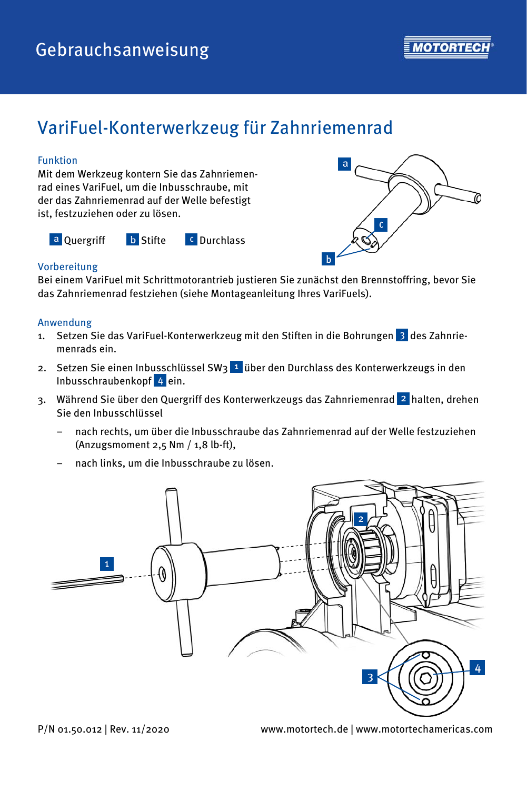

# VariFuel-Konterwerkzeug für Zahnriemenrad

### Funktion

Mit dem Werkzeug kontern Sie das Zahnriemenrad eines VariFuel, um die Inbusschraube, mit der das Zahnriemenrad auf der Welle befestigt ist, festzuziehen oder zu lösen.

a Quergriff b Stifte <sup>c</sup> Durchlass



## Vorbereitung

Bei einem VariFuel mit Schrittmotorantrieb justieren Sie zunächst den Brennstoffring, bevor Sie das Zahnriemenrad festziehen (siehe Montageanleitung Ihres VariFuels).

### Anwendung

- 1. Setzen Sie das VariFuel-Konterwerkzeug mit den Stiften in die Bohrungen  $\overline{3}$  des Zahnriemenrads ein.
- 2. Setzen Sie einen Inbusschlüssel SW3 über den Durchlass des Konterwerkzeugs in den Inbusschraubenkopf 4 ein.
- 3. Während Sie über den Quergriff des Konterwerkzeugs das Zahnriemenrad 2 halten, drehen Sie den Inbusschlüssel
	- nach rechts, um über die Inbusschraube das Zahnriemenrad auf der Welle festzuziehen (Anzugsmoment 2,5 Nm / 1,8 lb-ft),
	- nach links, um die Inbusschraube zu lösen.



P/N 01.50.012 | Rev. 11/2020 www.motortech.de | www.motortechamericas.com